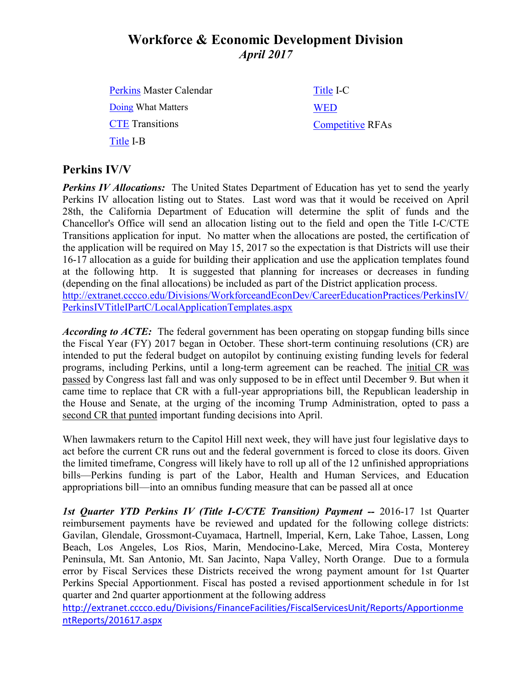# **Workforce & Economic Development Division** *April 2017*

[Perkins](http://extranet.cccco.edu/Portals/1/WED/Perkins/Perkins-MasterCalendar-2016-17.pdf) Master Calendar [Doing](http://doingwhatmatters.cccco.edu/) What Matters **[CTE](http://extranet.cccco.edu/Divisions/WorkforceandEconDev/CareerEducationPractices/PerkinsIV/CTETransitions.aspx)** Transitions [Title](http://extranet.cccco.edu/Divisions/WorkforceandEconDev/CareerEducationPractices/PerkinsIV/PerkinsIVTitleIPartB.aspx) I-B [Title](http://extranet.cccco.edu/Divisions/WorkforceandEconDev/CareerEducationPractices/PerkinsIV/PerkinsIVTitleIPartC.aspx) I-C [WED](http://extranet.cccco.edu/Divisions/WorkforceandEconDev.aspx) [Competitive](http://extranet.cccco.edu/Divisions/WorkforceandEconDev/WEDDRFAs.aspx) RFAs

#### **Perkins IV/V**

*Perkins IV Allocations:* The United States Department of Education has yet to send the yearly Perkins IV allocation listing out to States. Last word was that it would be received on April 28th, the California Department of Education will determine the split of funds and the Chancellor's Office will send an allocation listing out to the field and open the Title I-C/CTE Transitions application for input. No matter when the allocations are posted, the certification of the application will be required on May 15, 2017 so the expectation is that Districts will use their 16-17 allocation as a guide for building their application and use the application templates found at the following http. It is suggested that planning for increases or decreases in funding (depending on the final allocations) be included as part of the District application process. [http://extranet.cccco.edu/Divisions/WorkforceandEconDev/CareerEducationPractices/PerkinsIV/](http://extranet.cccco.edu/Divisions/WorkforceandEconDev/CareerEducationPractices/PerkinsIV/PerkinsIVTitleIPartC/LocalApplicationTemplates.aspx) [PerkinsIVTitleIPartC/LocalApplicationTemplates.aspx](http://extranet.cccco.edu/Divisions/WorkforceandEconDev/CareerEducationPractices/PerkinsIV/PerkinsIVTitleIPartC/LocalApplicationTemplates.aspx)

*According to ACTE*: The federal government has been operating on stopgap funding bills since the Fiscal Year (FY) 2017 began in October. These short-term continuing resolutions (CR) are intended to put the federal budget on autopilot by continuing existing funding levels for federal programs, including Perkins, until a long-term agreement can be reached. The [initial CR was](http://ctepolicywatch.acteonline.org/2016/09/congress-passes-temporary-funding-bill.html)  [passed](http://ctepolicywatch.acteonline.org/2016/09/congress-passes-temporary-funding-bill.html) by Congress last fall and was only supposed to be in effect until December 9. But when it came time to replace that CR with a full-year appropriations bill, the Republican leadership in the House and Senate, at the urging of the incoming Trump Administration, opted to pass a [second CR that punted](http://ctepolicywatch.acteonline.org/2016/12/stopgap-funding-bill-extends-perkins-cut.html) important funding decisions into April.

When lawmakers return to the Capitol Hill next week, they will have just four legislative days to act before the current CR runs out and the federal government is forced to close its doors. Given the limited timeframe, Congress will likely have to roll up all of the 12 unfinished appropriations bills—Perkins funding is part of the Labor, Health and Human Services, and Education appropriations bill—into an omnibus funding measure that can be passed all at once

*1st Quarter YTD Perkins IV (Title I-C/CTE Transition) Payment --* 2016-17 1st Quarter reimbursement payments have be reviewed and updated for the following college districts: Gavilan, Glendale, Grossmont-Cuyamaca, Hartnell, Imperial, Kern, Lake Tahoe, Lassen, Long Beach, Los Angeles, Los Rios, Marin, Mendocino-Lake, Merced, Mira Costa, Monterey Peninsula, Mt. San Antonio, Mt. San Jacinto, Napa Valley, North Orange. Due to a formula error by Fiscal Services these Districts received the wrong payment amount for 1st Quarter Perkins Special Apportionment. Fiscal has posted a revised apportionment schedule in for 1st quarter and 2nd quarter apportionment at the following address

[http://extranet.cccco.edu/Divisions/FinanceFacilities/FiscalServicesUnit/Reports/Apportionme](http://extranet.cccco.edu/Divisions/FinanceFacilities/FiscalServicesUnit/Reports/ApportionmentReports/201617.aspx) [ntReports/201617.aspx](http://extranet.cccco.edu/Divisions/FinanceFacilities/FiscalServicesUnit/Reports/ApportionmentReports/201617.aspx)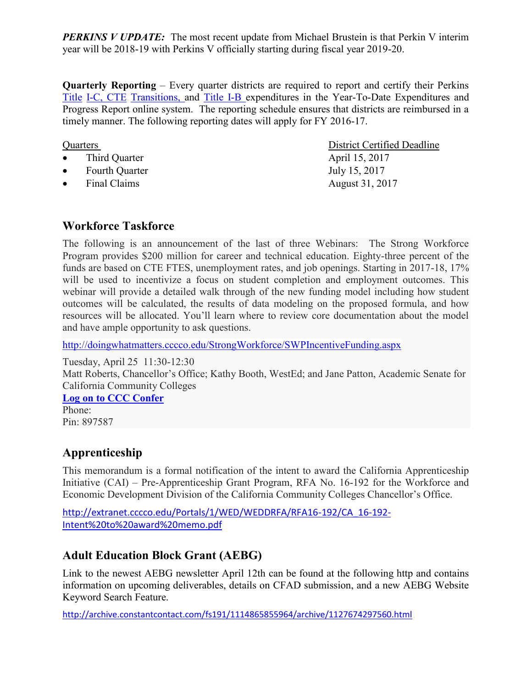*PERKINS V UPDATE:* The most recent update from Michael Brustein is that Perkin V interim year will be 2018-19 with Perkins V officially starting during fiscal year 2019-20.

**Quarterly Reporting** – Every quarter districts are required to report and certify their Perkins [Title](https://misweb02.cccco.edu/vtea/dba/logon.cfm) I-C, [CTE](https://misweb02.cccco.edu/ctetransitions/prod/logon.cfm) Transitions, and [Title](https://misweb02.cccco.edu/vteaib/prod/logon.cfm) I-B expenditures in the Year-To-Date Expenditures and Progress Report online system. The reporting schedule ensures that districts are reimbursed in a timely manner. The following reporting dates will apply for FY 2016-17.

- Third Quarter April 15, 2017
- Fourth Quarter July 15, 2017
- Final Claims August 31, 2017

Quarters District Certified Deadline

#### **Workforce Taskforce**

The following is an announcement of the last of three Webinars: The Strong Workforce Program provides \$200 million for career and technical education. Eighty-three percent of the funds are based on CTE FTES, unemployment rates, and job openings. Starting in 2017-18, 17% will be used to incentivize a focus on student completion and employment outcomes. This webinar will provide a detailed walk through of the new funding model including how student outcomes will be calculated, the results of data modeling on the proposed formula, and how resources will be allocated. You'll learn where to review core documentation about the model and have ample opportunity to ask questions.

<http://doingwhatmatters.cccco.edu/StrongWorkforce/SWPIncentiveFunding.aspx>

Tuesday, April 25 11:30-12:30 Matt Roberts, Chancellor's Office; Kathy Booth, WestEd; and Jane Patton, Academic Senate for California Community Colleges

**[Log on to CCC Confer](http://cccconfer.org/GoToMeeting?SeriesID=6664bc26-ccc1-428f-8034-42392ef6c6a8)**

Phone: Pin: 897587

## **Apprenticeship**

This memorandum is a formal notification of the intent to award the California Apprenticeship Initiative (CAI) – Pre-Apprenticeship Grant Program, RFA No. 16-192 for the Workforce and Economic Development Division of the California Community Colleges Chancellor's Office.

[http://extranet.cccco.edu/Portals/1/WED/WEDDRFA/RFA16-192/CA\\_16-192-](http://extranet.cccco.edu/Portals/1/WED/WEDDRFA/RFA16-192/CA_16-192-Intent%20to%20award%20memo.pdf) [Intent%20to%20award%20memo.pdf](http://extranet.cccco.edu/Portals/1/WED/WEDDRFA/RFA16-192/CA_16-192-Intent%20to%20award%20memo.pdf)

## **Adult Education Block Grant (AEBG)**

Link to the newest AEBG newsletter April 12th can be found at the following http and contains information on upcoming deliverables, details on CFAD submission, and a new AEBG Website Keyword Search Feature.

<http://archive.constantcontact.com/fs191/1114865855964/archive/1127674297560.html>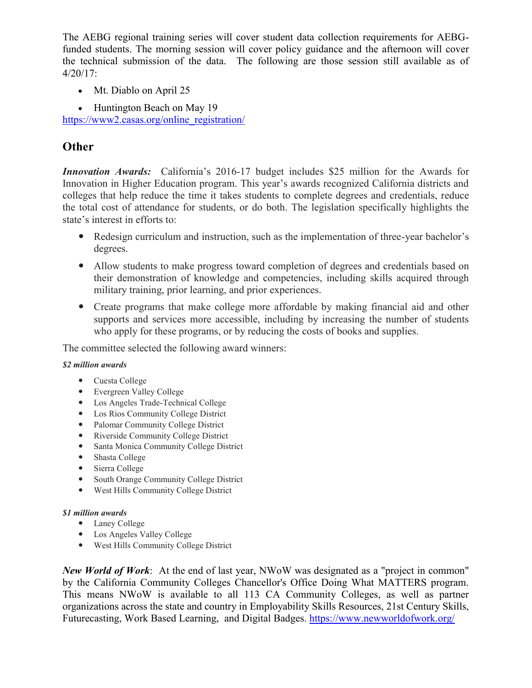The AEBG regional training series will cover student data collection requirements for AEBGfunded students. The morning session will cover policy guidance and the afternoon will cover the technical submission of the data. The following are those session still available as of 4/20/17:

- Mt. Diablo on April 25
- Huntington Beach on May 19

[https://www2.casas.org/online\\_registration/](https://www2.casas.org/online_registration/)

### **Other**

*Innovation Awards:* California's 2016-17 budget includes \$25 million for the Awards for Innovation in Higher Education program. This year's awards recognized California districts and colleges that help reduce the time it takes students to complete degrees and credentials, reduce the total cost of attendance for students, or do both. The legislation specifically highlights the state's interest in efforts to:

- Redesign curriculum and instruction, such as the implementation of three-year bachelor's degrees.
- Allow students to make progress toward completion of degrees and credentials based on their demonstration of knowledge and competencies, including skills acquired through military training, prior learning, and prior experiences.
- Create programs that make college more affordable by making financial aid and other supports and services more accessible, including by increasing the number of students who apply for these programs, or by reducing the costs of books and supplies.

The committee selected the following award winners:

#### *\$2 million awards*

- Cuesta College
- Evergreen Valley College
- Los Angeles Trade-Technical College
- Los Rios Community College District
- Palomar Community College District
- Riverside Community College District
- Santa Monica Community College District
- Shasta College
- Sierra College
- South Orange Community College District
- West Hills Community College District

#### *\$1 million awards*

- Laney College
- Los Angeles Valley College
- West Hills Community College District

*New World of Work*: At the end of last year, NWoW was designated as a "project in common" by the California Community Colleges Chancellor's Office Doing What MATTERS program. This means NWoW is available to all 113 CA Community Colleges, as well as partner organizations across the state and country in Employability Skills Resources, 21st Century Skills, Futurecasting, Work Based Learning, and Digital Badges.<https://www.newworldofwork.org/>